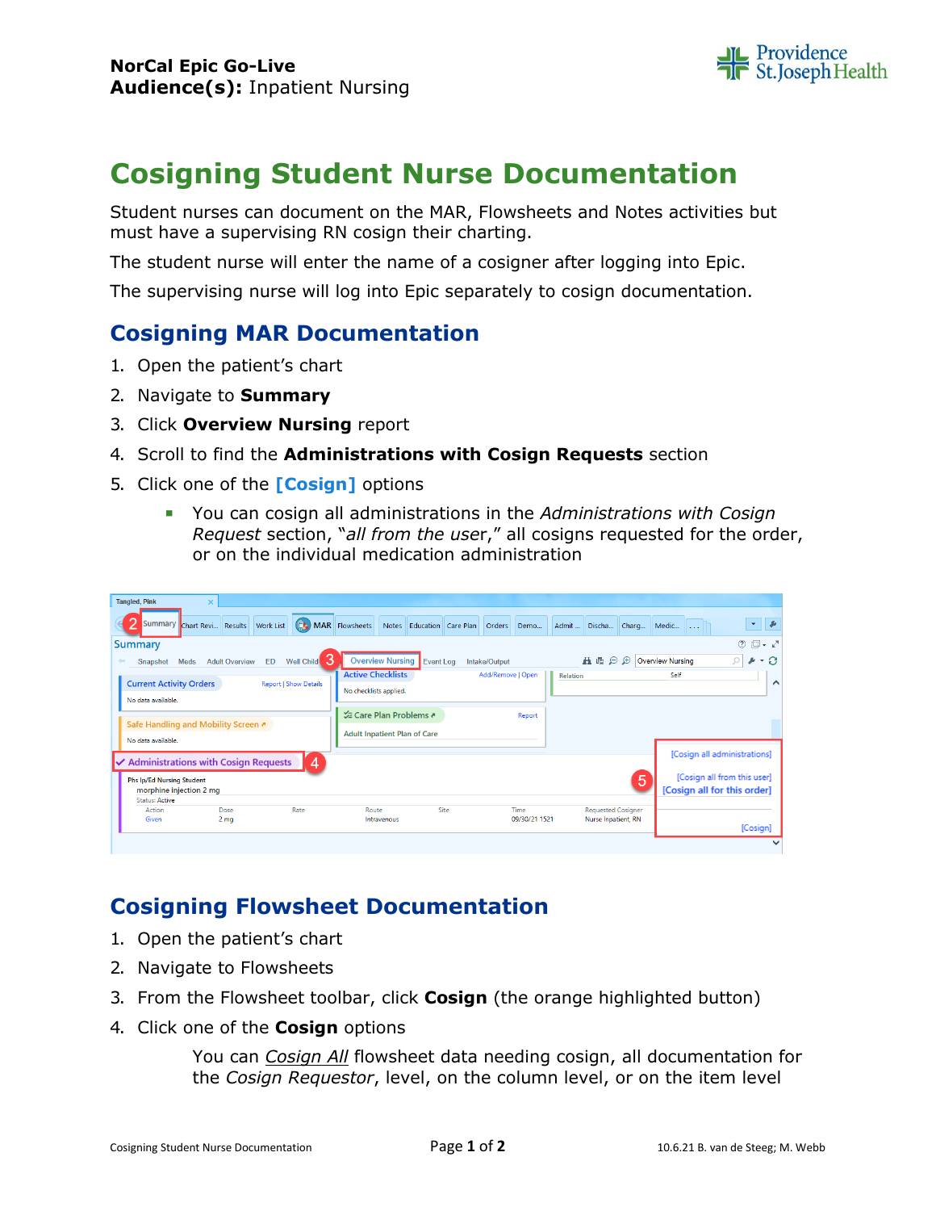

## **Cosigning Student Nurse Documentation**

Student nurses can document on the MAR, Flowsheets and Notes activities but must have a supervising RN cosign their charting.

The student nurse will enter the name of a cosigner after logging into Epic.

The supervising nurse will log into Epic separately to cosign documentation.

## **Cosigning MAR Documentation**

- 1. Open the patient's chart
- 2. Navigate to **Summary**
- 3. Click **Overview Nursing** report
- 4. Scroll to find the **Administrations with Cosign Requests** section
- 5. Click one of the **[Cosign]** options
	- You can cosign all administrations in the *Administrations with Cosign Request* section, "*all from the use*r," all cosigns requested for the order, or on the individual medication administration

| <b>Tangled, Pink</b><br>×                                                                           |                                                                                                  |                       |                                                  |                                                             |
|-----------------------------------------------------------------------------------------------------|--------------------------------------------------------------------------------------------------|-----------------------|--------------------------------------------------|-------------------------------------------------------------|
| Summary<br>Chart Revi Results Work List                                                             | (CR) MAR Flowsheets Notes Education Care Plan Orders Demo                                        |                       | Admit  Discha Charg                              | マーを<br>Medic                                                |
| <b>Summary</b>                                                                                      |                                                                                                  |                       |                                                  | $\circledcirc$ $\Box$ $\sim$ $\sqrt{ }$                     |
| з<br>Well Child<br><b>ED</b><br>$\leftarrow$<br><b>Adult Overview</b><br>Meds<br>Snapshot           | <b>Overview Nursing</b><br>Event Log                                                             | Intake/Output         | ■量○<br>$\oplus$                                  | ÷Э<br><b>Overview Nursing</b><br>Ω<br>s                     |
| <b>Current Activity Orders</b><br><b>Report   Show Details</b><br>No data available.                | <b>Active Checklists</b><br>No checklists applied.                                               | Add/Remove   Open     | Relation                                         | Self<br>⌒                                                   |
| Safe Handling and Mobility Screen &<br>No data available.                                           | <b><math>\frac{1}{22}</math> Care Plan Problems &amp;</b><br><b>Adult Inpatient Plan of Care</b> | Report                |                                                  |                                                             |
| <b>Administrations with Cosign Requests</b><br>$\boldsymbol{4}$<br><b>Phs Ip/Ed Nursing Student</b> |                                                                                                  |                       | 5                                                | [Cosign all administrations]<br>[Cosign all from this user] |
| morphine injection 2 mg                                                                             |                                                                                                  |                       |                                                  | [Cosign all for this order]                                 |
| <b>Status: Active</b><br>Rate<br>Dose<br>Action<br>2 <sub>mg</sub><br>Given                         | Site<br>Route<br>Intravenous                                                                     | Time<br>09/30/21 1521 | <b>Requested Cosigner</b><br>Nurse Inpatient, RN | [Cosign]                                                    |
|                                                                                                     |                                                                                                  |                       |                                                  |                                                             |

## **Cosigning Flowsheet Documentation**

- 1. Open the patient's chart
- 2. Navigate to Flowsheets
- 3. From the Flowsheet toolbar, click **Cosign** (the orange highlighted button)
- 4. Click one of the **Cosign** options

You can *Cosign All* flowsheet data needing cosign, all documentation for the *Cosign Requestor*, level, on the column level, or on the item level